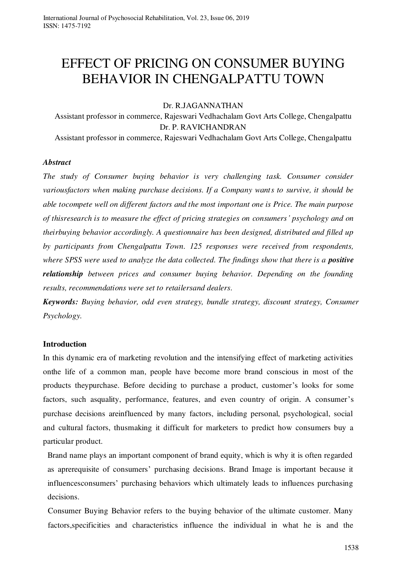# EFFECT OF PRICING ON CONSUMER BUYING BEHAVIOR IN CHENGALPATTU TOWN

### Dr. R.JAGANNATHAN

Assistant professor in commerce, Rajeswari Vedhachalam Govt Arts College, Chengalpattu Dr. P. RAVICHANDRAN Assistant professor in commerce, Rajeswari Vedhachalam Govt Arts College, Chengalpattu

### *Abstract*

*The study of Consumer buying behavior is very challenging task. Consumer consider variousfactors when making purchase decisions. If a Company wants to survive, it should be able tocompete well on different factors and the most important one is Price. The main purpose of thisresearch is to measure the effect of pricing strategies on consumers' psychology and on theirbuying behavior accordingly. A questionnaire has been designed, distributed and filled up by participants from Chengalpattu Town. 125 responses were received from respondents, where SPSS were used to analyze the data collected. The findings show that there is a positive relationship between prices and consumer buying behavior. Depending on the founding results, recommendations were set to retailersand dealers.* 

*Keywords: Buying behavior, odd even strategy, bundle strategy, discount strategy, Consumer Psychology.* 

# **Introduction**

In this dynamic era of marketing revolution and the intensifying effect of marketing activities onthe life of a common man, people have become more brand conscious in most of the products theypurchase. Before deciding to purchase a product, customer's looks for some factors, such asquality, performance, features, and even country of origin. A consumer's purchase decisions areinfluenced by many factors, including personal, psychological, social and cultural factors, thusmaking it difficult for marketers to predict how consumers buy a particular product.

Brand name plays an important component of brand equity, which is why it is often regarded as aprerequisite of consumers' purchasing decisions. Brand Image is important because it influencesconsumers' purchasing behaviors which ultimately leads to influences purchasing decisions.

Consumer Buying Behavior refers to the buying behavior of the ultimate customer. Many factors,specificities and characteristics influence the individual in what he is and the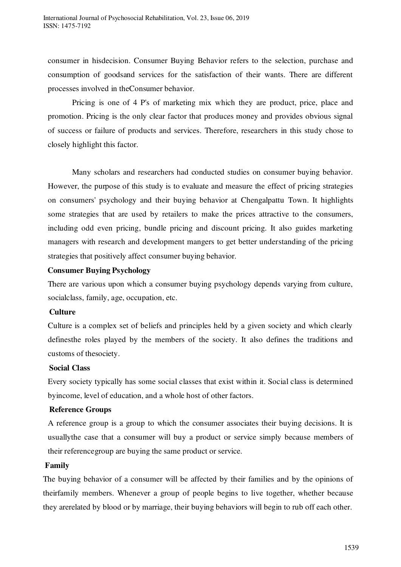consumer in hisdecision. Consumer Buying Behavior refers to the selection, purchase and consumption of goodsand services for the satisfaction of their wants. There are different processes involved in theConsumer behavior.

Pricing is one of 4 P's of marketing mix which they are product, price, place and promotion. Pricing is the only clear factor that produces money and provides obvious signal of success or failure of products and services. Therefore, researchers in this study chose to closely highlight this factor.

Many scholars and researchers had conducted studies on consumer buying behavior. However, the purpose of this study is to evaluate and measure the effect of pricing strategies on consumers' psychology and their buying behavior at Chengalpattu Town. It highlights some strategies that are used by retailers to make the prices attractive to the consumers, including odd even pricing, bundle pricing and discount pricing. It also guides marketing managers with research and development mangers to get better understanding of the pricing strategies that positively affect consumer buying behavior.

# **Consumer Buying Psychology**

There are various upon which a consumer buying psychology depends varying from culture, socialclass, family, age, occupation, etc.

# **Culture**

Culture is a complex set of beliefs and principles held by a given society and which clearly definesthe roles played by the members of the society. It also defines the traditions and customs of thesociety.

#### **Social Class**

Every society typically has some social classes that exist within it. Social class is determined byincome, level of education, and a whole host of other factors.

# **Reference Groups**

A reference group is a group to which the consumer associates their buying decisions. It is usuallythe case that a consumer will buy a product or service simply because members of their referencegroup are buying the same product or service.

#### **Family**

The buying behavior of a consumer will be affected by their families and by the opinions of theirfamily members. Whenever a group of people begins to live together, whether because they arerelated by blood or by marriage, their buying behaviors will begin to rub off each other.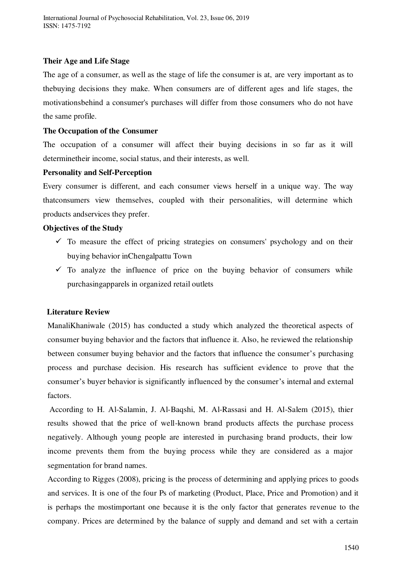## **Their Age and Life Stage**

The age of a consumer, as well as the stage of life the consumer is at, are very important as to thebuying decisions they make. When consumers are of different ages and life stages, the motivationsbehind a consumer's purchases will differ from those consumers who do not have the same profile.

#### **The Occupation of the Consumer**

The occupation of a consumer will affect their buying decisions in so far as it will determinetheir income, social status, and their interests, as well.

### **Personality and Self-Perception**

Every consumer is different, and each consumer views herself in a unique way. The way thatconsumers view themselves, coupled with their personalities, will determine which products andservices they prefer.

### **Objectives of the Study**

- $\checkmark$  To measure the effect of pricing strategies on consumers' psychology and on their buying behavior inChengalpattu Town
- $\checkmark$  To analyze the influence of price on the buying behavior of consumers while purchasingapparels in organized retail outlets

# **Literature Review**

ManaliKhaniwale (2015) has conducted a study which analyzed the theoretical aspects of consumer buying behavior and the factors that influence it. Also, he reviewed the relationship between consumer buying behavior and the factors that influence the consumer's purchasing process and purchase decision. His research has sufficient evidence to prove that the consumer's buyer behavior is significantly influenced by the consumer's internal and external factors.

 According to H. Al-Salamin, J. Al-Baqshi, M. Al-Rassasi and H. Al-Salem (2015), thier results showed that the price of well-known brand products affects the purchase process negatively. Although young people are interested in purchasing brand products, their low income prevents them from the buying process while they are considered as a major segmentation for brand names*.* 

According to Rigges (2008), pricing is the process of determining and applying prices to goods and services. It is one of the four Ps of marketing (Product, Place, Price and Promotion) and it is perhaps the mostimportant one because it is the only factor that generates revenue to the company. Prices are determined by the balance of supply and demand and set with a certain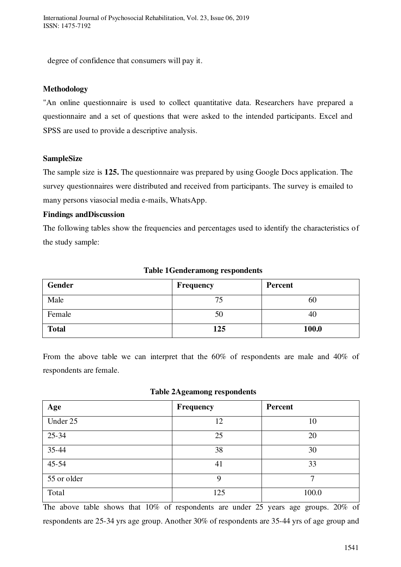degree of confidence that consumers will pay it.

# **Methodology**

"An online questionnaire is used to collect quantitative data. Researchers have prepared a questionnaire and a set of questions that were asked to the intended participants. Excel and SPSS are used to provide a descriptive analysis.

# **SampleSize**

The sample size is **125.** The questionnaire was prepared by using Google Docs application. The survey questionnaires were distributed and received from participants. The survey is emailed to many persons viasocial media e-mails, WhatsApp.

# **Findings andDiscussion**

The following tables show the frequencies and percentages used to identify the characteristics of the study sample:

| Gender       | Frequency | Percent |
|--------------|-----------|---------|
| Male         | 74        | 60      |
| Female       | 50        | 40      |
| <b>Total</b> | 125       | 100.0   |

### **Table 1Genderamong respondents**

From the above table we can interpret that the 60% of respondents are male and 40% of respondents are female.

**Table 2Ageamong respondents** 

| Age         | Frequency | <b>Percent</b> |  |
|-------------|-----------|----------------|--|
| Under 25    | 12        | 10             |  |
| $25 - 34$   | 25        | 20             |  |
| 35-44       | 38        | 30             |  |
| $45 - 54$   | 41        | 33             |  |
| 55 or older | 9         | $\mathcal{I}$  |  |
| Total       | 125       | 100.0          |  |

The above table shows that 10% of respondents are under 25 years age groups. 20% of respondents are 25-34 yrs age group. Another 30% of respondents are 35-44 yrs of age group and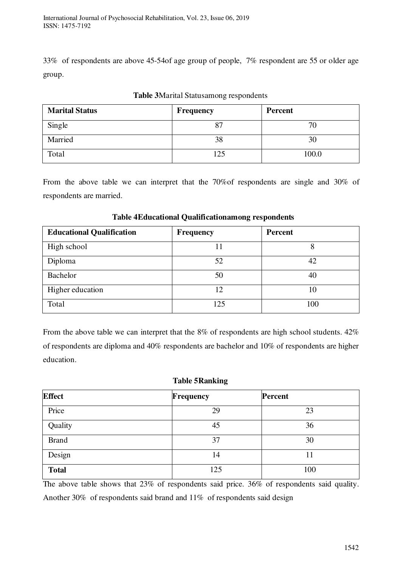33% of respondents are above 45-54of age group of people, 7% respondent are 55 or older age group.

| <b>Marital Status</b> | <b>Frequency</b> | Percent |  |
|-----------------------|------------------|---------|--|
| Single                | 87               | 70      |  |
| Married               | 38               | 30      |  |
| Total                 | 125              | 100.0   |  |

# **Table 3**Marital Statusamong respondents

From the above table we can interpret that the 70%of respondents are single and 30% of respondents are married.

| <b>Educational Qualification</b> | <b>Frequency</b> | Percent |  |
|----------------------------------|------------------|---------|--|
| High school                      |                  |         |  |
| Diploma                          | 52               | 42      |  |
| Bachelor                         | 50               | 40      |  |
| Higher education                 | 12               | 10      |  |
| Total                            | 125              | 100     |  |

# **Table 4Educational Qualificationamong respondents**

From the above table we can interpret that the 8% of respondents are high school students.  $42\%$ of respondents are diploma and 40% respondents are bachelor and 10% of respondents are higher education.

# **Table 5Ranking**

| <b>Effect</b> | <b>Frequency</b> | Percent |  |
|---------------|------------------|---------|--|
| Price         | 29               | 23      |  |
| Quality       | 45               | 36      |  |
| <b>Brand</b>  | 37               | 30      |  |
| Design        | 14               |         |  |
| <b>Total</b>  | 125              | 100     |  |

The above table shows that 23% of respondents said price. 36% of respondents said quality. Another 30% of respondents said brand and 11% of respondents said design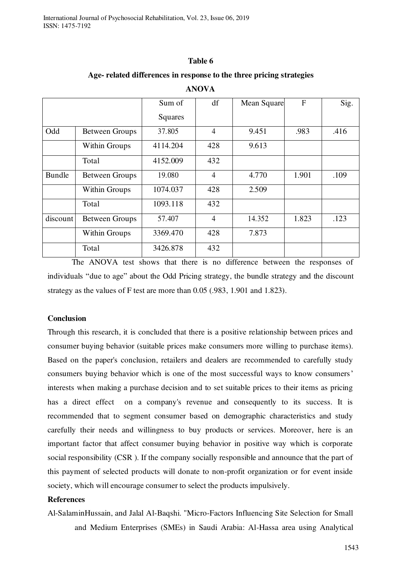#### **Table 6**

#### **Age- related differences in response to the three pricing strategies**

|          |                       | Sum of   | df             | Mean Square | F     | Sig. |
|----------|-----------------------|----------|----------------|-------------|-------|------|
|          |                       | Squares  |                |             |       |      |
| Odd      | <b>Between Groups</b> | 37.805   | $\overline{4}$ | 9.451       | .983  | .416 |
|          | <b>Within Groups</b>  | 4114.204 | 428            | 9.613       |       |      |
|          | Total                 | 4152.009 | 432            |             |       |      |
| Bundle   | <b>Between Groups</b> | 19.080   | 4              | 4.770       | 1.901 | .109 |
|          | <b>Within Groups</b>  | 1074.037 | 428            | 2.509       |       |      |
|          | Total                 | 1093.118 | 432            |             |       |      |
| discount | <b>Between Groups</b> | 57.407   | $\overline{4}$ | 14.352      | 1.823 | .123 |
|          | <b>Within Groups</b>  | 3369.470 | 428            | 7.873       |       |      |
|          | Total                 | 3426.878 | 432            |             |       |      |

#### **ANOVA**

The ANOVA test shows that there is no difference between the responses of individuals "due to age" about the Odd Pricing strategy, the bundle strategy and the discount strategy as the values of F test are more than 0.05 (.983, 1.901 and 1.823).

#### **Conclusion**

Through this research, it is concluded that there is a positive relationship between prices and consumer buying behavior (suitable prices make consumers more willing to purchase items). Based on the paper's conclusion, retailers and dealers are recommended to carefully study consumers buying behavior which is one of the most successful ways to know consumers' interests when making a purchase decision and to set suitable prices to their items as pricing has a direct effect on a company's revenue and consequently to its success. It is recommended that to segment consumer based on demographic characteristics and study carefully their needs and willingness to buy products or services. Moreover, here is an important factor that affect consumer buying behavior in positive way which is corporate social responsibility (CSR ). If the company socially responsible and announce that the part of this payment of selected products will donate to non-profit organization or for event inside society, which will encourage consumer to select the products impulsively.

### **References**

Al-SalaminHussain, and Jalal Al-Baqshi. "Micro-Factors Influencing Site Selection for Small and Medium Enterprises (SMEs) in Saudi Arabia: Al-Hassa area using Analytical